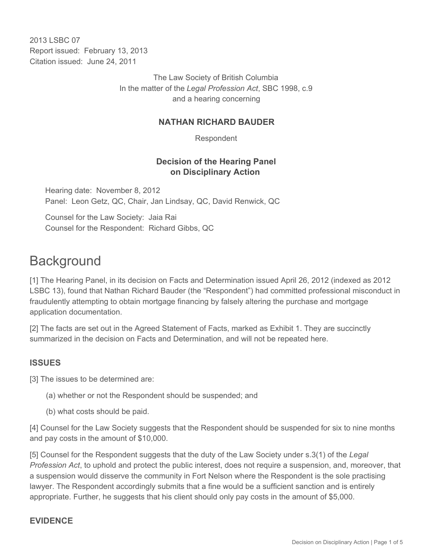2013 LSBC 07 Report issued: February 13, 2013 Citation issued: June 24, 2011

> The Law Society of British Columbia In the matter of the *Legal Profession Act*, SBC 1998, c.9 and a hearing concerning

#### **NATHAN RICHARD BAUDER**

Respondent

#### **Decision of the Hearing Panel on Disciplinary Action**

Hearing date: November 8, 2012 Panel: Leon Getz, QC, Chair, Jan Lindsay, QC, David Renwick, QC

Counsel for the Law Society: Jaia Rai Counsel for the Respondent: Richard Gibbs, QC

# **Background**

[1] The Hearing Panel, in its decision on Facts and Determination issued April 26, 2012 (indexed as 2012 LSBC 13), found that Nathan Richard Bauder (the "Respondent") had committed professional misconduct in fraudulently attempting to obtain mortgage financing by falsely altering the purchase and mortgage application documentation.

[2] The facts are set out in the Agreed Statement of Facts, marked as Exhibit 1. They are succinctly summarized in the decision on Facts and Determination, and will not be repeated here.

## **ISSUES**

[3] The issues to be determined are:

- (a) whether or not the Respondent should be suspended; and
- (b) what costs should be paid.

[4] Counsel for the Law Society suggests that the Respondent should be suspended for six to nine months and pay costs in the amount of \$10,000.

[5] Counsel for the Respondent suggests that the duty of the Law Society under s.3(1) of the *Legal Profession Act*, to uphold and protect the public interest, does not require a suspension, and, moreover, that a suspension would disserve the community in Fort Nelson where the Respondent is the sole practising lawyer. The Respondent accordingly submits that a fine would be a sufficient sanction and is entirely appropriate. Further, he suggests that his client should only pay costs in the amount of \$5,000.

#### **EVIDENCE**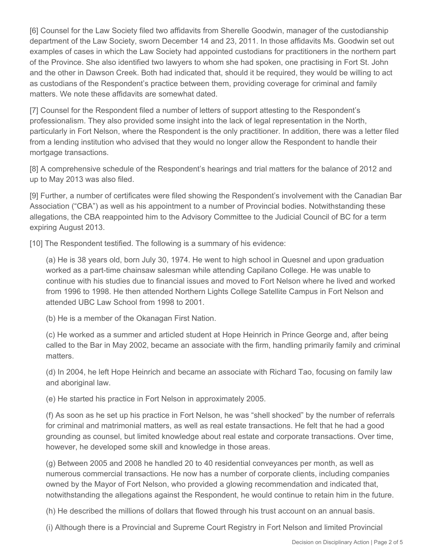[6] Counsel for the Law Society filed two affidavits from Sherelle Goodwin, manager of the custodianship department of the Law Society, sworn December 14 and 23, 2011. In those affidavits Ms. Goodwin set out examples of cases in which the Law Society had appointed custodians for practitioners in the northern part of the Province. She also identified two lawyers to whom she had spoken, one practising in Fort St. John and the other in Dawson Creek. Both had indicated that, should it be required, they would be willing to act as custodians of the Respondent's practice between them, providing coverage for criminal and family matters. We note these affidavits are somewhat dated.

[7] Counsel for the Respondent filed a number of letters of support attesting to the Respondent's professionalism. They also provided some insight into the lack of legal representation in the North, particularly in Fort Nelson, where the Respondent is the only practitioner. In addition, there was a letter filed from a lending institution who advised that they would no longer allow the Respondent to handle their mortgage transactions.

[8] A comprehensive schedule of the Respondent's hearings and trial matters for the balance of 2012 and up to May 2013 was also filed.

[9] Further, a number of certificates were filed showing the Respondent's involvement with the Canadian Bar Association ("CBA") as well as his appointment to a number of Provincial bodies. Notwithstanding these allegations, the CBA reappointed him to the Advisory Committee to the Judicial Council of BC for a term expiring August 2013.

[10] The Respondent testified. The following is a summary of his evidence:

(a) He is 38 years old, born July 30, 1974. He went to high school in Quesnel and upon graduation worked as a part-time chainsaw salesman while attending Capilano College. He was unable to continue with his studies due to financial issues and moved to Fort Nelson where he lived and worked from 1996 to 1998. He then attended Northern Lights College Satellite Campus in Fort Nelson and attended UBC Law School from 1998 to 2001.

(b) He is a member of the Okanagan First Nation.

(c) He worked as a summer and articled student at Hope Heinrich in Prince George and, after being called to the Bar in May 2002, became an associate with the firm, handling primarily family and criminal matters.

(d) In 2004, he left Hope Heinrich and became an associate with Richard Tao, focusing on family law and aboriginal law.

(e) He started his practice in Fort Nelson in approximately 2005.

(f) As soon as he set up his practice in Fort Nelson, he was "shell shocked" by the number of referrals for criminal and matrimonial matters, as well as real estate transactions. He felt that he had a good grounding as counsel, but limited knowledge about real estate and corporate transactions. Over time, however, he developed some skill and knowledge in those areas.

(g) Between 2005 and 2008 he handled 20 to 40 residential conveyances per month, as well as numerous commercial transactions. He now has a number of corporate clients, including companies owned by the Mayor of Fort Nelson, who provided a glowing recommendation and indicated that, notwithstanding the allegations against the Respondent, he would continue to retain him in the future.

(h) He described the millions of dollars that flowed through his trust account on an annual basis.

(i) Although there is a Provincial and Supreme Court Registry in Fort Nelson and limited Provincial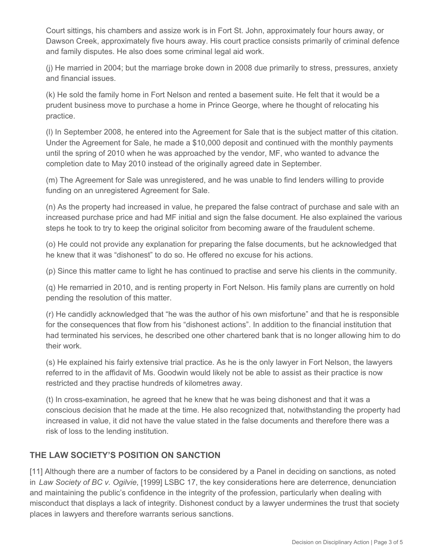Court sittings, his chambers and assize work is in Fort St. John, approximately four hours away, or Dawson Creek, approximately five hours away. His court practice consists primarily of criminal defence and family disputes. He also does some criminal legal aid work.

(j) He married in 2004; but the marriage broke down in 2008 due primarily to stress, pressures, anxiety and financial issues.

(k) He sold the family home in Fort Nelson and rented a basement suite. He felt that it would be a prudent business move to purchase a home in Prince George, where he thought of relocating his practice.

(l) In September 2008, he entered into the Agreement for Sale that is the subject matter of this citation. Under the Agreement for Sale, he made a \$10,000 deposit and continued with the monthly payments until the spring of 2010 when he was approached by the vendor, MF, who wanted to advance the completion date to May 2010 instead of the originally agreed date in September.

(m) The Agreement for Sale was unregistered, and he was unable to find lenders willing to provide funding on an unregistered Agreement for Sale.

(n) As the property had increased in value, he prepared the false contract of purchase and sale with an increased purchase price and had MF initial and sign the false document. He also explained the various steps he took to try to keep the original solicitor from becoming aware of the fraudulent scheme.

(o) He could not provide any explanation for preparing the false documents, but he acknowledged that he knew that it was "dishonest" to do so. He offered no excuse for his actions.

(p) Since this matter came to light he has continued to practise and serve his clients in the community.

(q) He remarried in 2010, and is renting property in Fort Nelson. His family plans are currently on hold pending the resolution of this matter.

(r) He candidly acknowledged that "he was the author of his own misfortune" and that he is responsible for the consequences that flow from his "dishonest actions". In addition to the financial institution that had terminated his services, he described one other chartered bank that is no longer allowing him to do their work.

(s) He explained his fairly extensive trial practice. As he is the only lawyer in Fort Nelson, the lawyers referred to in the affidavit of Ms. Goodwin would likely not be able to assist as their practice is now restricted and they practise hundreds of kilometres away.

(t) In cross-examination, he agreed that he knew that he was being dishonest and that it was a conscious decision that he made at the time. He also recognized that, notwithstanding the property had increased in value, it did not have the value stated in the false documents and therefore there was a risk of loss to the lending institution.

## **THE LAW SOCIETY'S POSITION ON SANCTION**

[11] Although there are a number of factors to be considered by a Panel in deciding on sanctions, as noted in *Law Society of BC v. Ogilvie*, [1999] LSBC 17, the key considerations here are deterrence, denunciation and maintaining the public's confidence in the integrity of the profession, particularly when dealing with misconduct that displays a lack of integrity. Dishonest conduct by a lawyer undermines the trust that society places in lawyers and therefore warrants serious sanctions.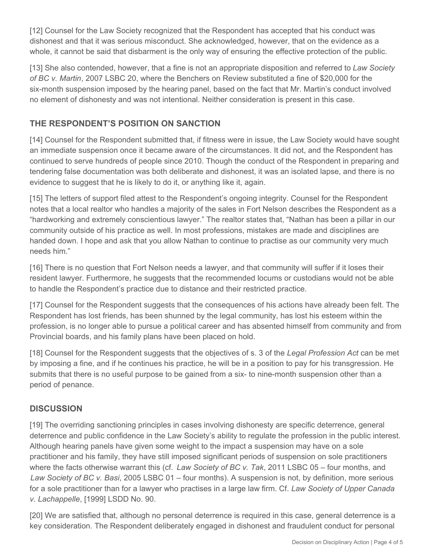[12] Counsel for the Law Society recognized that the Respondent has accepted that his conduct was dishonest and that it was serious misconduct. She acknowledged, however, that on the evidence as a whole, it cannot be said that disbarment is the only way of ensuring the effective protection of the public.

[13] She also contended, however, that a fine is not an appropriate disposition and referred to *Law Society of BC v. Martin*, 2007 LSBC 20, where the Benchers on Review substituted a fine of \$20,000 for the six-month suspension imposed by the hearing panel, based on the fact that Mr. Martin's conduct involved no element of dishonesty and was not intentional. Neither consideration is present in this case.

## **THE RESPONDENT'S POSITION ON SANCTION**

[14] Counsel for the Respondent submitted that, if fitness were in issue, the Law Society would have sought an immediate suspension once it became aware of the circumstances. It did not, and the Respondent has continued to serve hundreds of people since 2010. Though the conduct of the Respondent in preparing and tendering false documentation was both deliberate and dishonest, it was an isolated lapse, and there is no evidence to suggest that he is likely to do it, or anything like it, again.

[15] The letters of support filed attest to the Respondent's ongoing integrity. Counsel for the Respondent notes that a local realtor who handles a majority of the sales in Fort Nelson describes the Respondent as a "hardworking and extremely conscientious lawyer." The realtor states that, "Nathan has been a pillar in our community outside of his practice as well. In most professions, mistakes are made and disciplines are handed down. I hope and ask that you allow Nathan to continue to practise as our community very much needs him."

[16] There is no question that Fort Nelson needs a lawyer, and that community will suffer if it loses their resident lawyer. Furthermore, he suggests that the recommended locums or custodians would not be able to handle the Respondent's practice due to distance and their restricted practice.

[17] Counsel for the Respondent suggests that the consequences of his actions have already been felt. The Respondent has lost friends, has been shunned by the legal community, has lost his esteem within the profession, is no longer able to pursue a political career and has absented himself from community and from Provincial boards, and his family plans have been placed on hold.

[18] Counsel for the Respondent suggests that the objectives of s. 3 of the *Legal Profession Act* can be met by imposing a fine, and if he continues his practice, he will be in a position to pay for his transgression. He submits that there is no useful purpose to be gained from a six- to nine-month suspension other than a period of penance.

## **DISCUSSION**

[19] The overriding sanctioning principles in cases involving dishonesty are specific deterrence, general deterrence and public confidence in the Law Society's ability to regulate the profession in the public interest. Although hearing panels have given some weight to the impact a suspension may have on a sole practitioner and his family, they have still imposed significant periods of suspension on sole practitioners where the facts otherwise warrant this (cf. *Law Society of BC v. Tak*, 2011 LSBC 05 – four months, and *Law Society of BC v. Basi*, 2005 LSBC 01 – four months). A suspension is not, by definition, more serious for a sole practitioner than for a lawyer who practises in a large law firm. Cf. *Law Society of Upper Canada v. Lachappelle*, [1999] LSDD No. 90.

[20] We are satisfied that, although no personal deterrence is required in this case, general deterrence is a key consideration. The Respondent deliberately engaged in dishonest and fraudulent conduct for personal